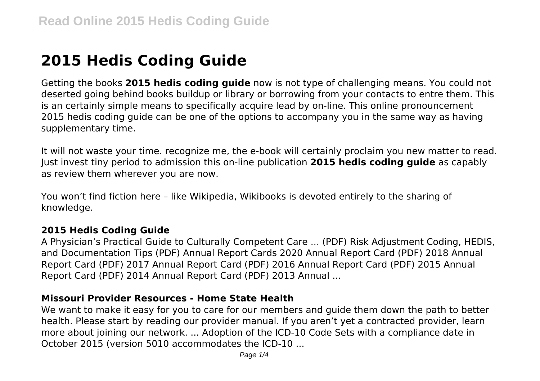# **2015 Hedis Coding Guide**

Getting the books **2015 hedis coding guide** now is not type of challenging means. You could not deserted going behind books buildup or library or borrowing from your contacts to entre them. This is an certainly simple means to specifically acquire lead by on-line. This online pronouncement 2015 hedis coding guide can be one of the options to accompany you in the same way as having supplementary time.

It will not waste your time. recognize me, the e-book will certainly proclaim you new matter to read. Just invest tiny period to admission this on-line publication **2015 hedis coding guide** as capably as review them wherever you are now.

You won't find fiction here – like Wikipedia, Wikibooks is devoted entirely to the sharing of knowledge.

#### **2015 Hedis Coding Guide**

A Physician's Practical Guide to Culturally Competent Care ... (PDF) Risk Adjustment Coding, HEDIS, and Documentation Tips (PDF) Annual Report Cards 2020 Annual Report Card (PDF) 2018 Annual Report Card (PDF) 2017 Annual Report Card (PDF) 2016 Annual Report Card (PDF) 2015 Annual Report Card (PDF) 2014 Annual Report Card (PDF) 2013 Annual ...

#### **Missouri Provider Resources - Home State Health**

We want to make it easy for you to care for our members and guide them down the path to better health. Please start by reading our provider manual. If you aren't yet a contracted provider, learn more about joining our network. ... Adoption of the ICD-10 Code Sets with a compliance date in October 2015 (version 5010 accommodates the ICD-10 ...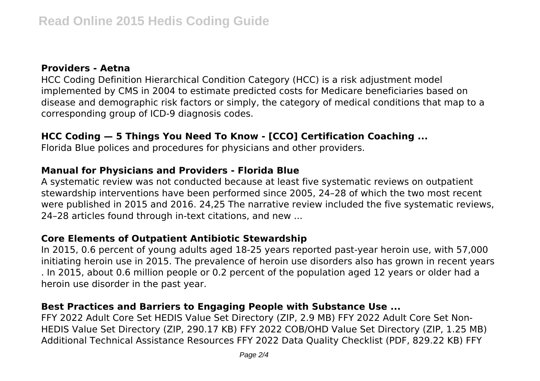#### **Providers - Aetna**

HCC Coding Definition Hierarchical Condition Category (HCC) is a risk adjustment model implemented by CMS in 2004 to estimate predicted costs for Medicare beneficiaries based on disease and demographic risk factors or simply, the category of medical conditions that map to a corresponding group of ICD-9 diagnosis codes.

## **HCC Coding — 5 Things You Need To Know - [CCO] Certification Coaching ...**

Florida Blue polices and procedures for physicians and other providers.

#### **Manual for Physicians and Providers - Florida Blue**

A systematic review was not conducted because at least five systematic reviews on outpatient stewardship interventions have been performed since 2005, 24–28 of which the two most recent were published in 2015 and 2016. 24,25 The narrative review included the five systematic reviews, 24–28 articles found through in-text citations, and new ...

#### **Core Elements of Outpatient Antibiotic Stewardship**

In 2015, 0.6 percent of young adults aged 18-25 years reported past-year heroin use, with 57,000 initiating heroin use in 2015. The prevalence of heroin use disorders also has grown in recent years . In 2015, about 0.6 million people or 0.2 percent of the population aged 12 years or older had a heroin use disorder in the past year.

### **Best Practices and Barriers to Engaging People with Substance Use ...**

FFY 2022 Adult Core Set HEDIS Value Set Directory (ZIP, 2.9 MB) FFY 2022 Adult Core Set Non-HEDIS Value Set Directory (ZIP, 290.17 KB) FFY 2022 COB/OHD Value Set Directory (ZIP, 1.25 MB) Additional Technical Assistance Resources FFY 2022 Data Quality Checklist (PDF, 829.22 KB) FFY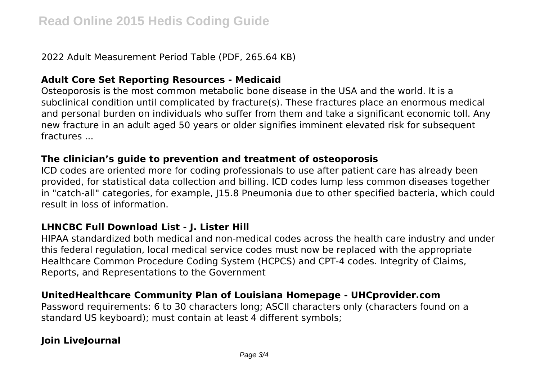2022 Adult Measurement Period Table (PDF, 265.64 KB)

#### **Adult Core Set Reporting Resources - Medicaid**

Osteoporosis is the most common metabolic bone disease in the USA and the world. It is a subclinical condition until complicated by fracture(s). These fractures place an enormous medical and personal burden on individuals who suffer from them and take a significant economic toll. Any new fracture in an adult aged 50 years or older signifies imminent elevated risk for subsequent fractures ...

#### **The clinician's guide to prevention and treatment of osteoporosis**

ICD codes are oriented more for coding professionals to use after patient care has already been provided, for statistical data collection and billing. ICD codes lump less common diseases together in "catch-all" categories, for example, J15.8 Pneumonia due to other specified bacteria, which could result in loss of information.

#### **LHNCBC Full Download List - J. Lister Hill**

HIPAA standardized both medical and non-medical codes across the health care industry and under this federal regulation, local medical service codes must now be replaced with the appropriate Healthcare Common Procedure Coding System (HCPCS) and CPT-4 codes. Integrity of Claims, Reports, and Representations to the Government

#### **UnitedHealthcare Community Plan of Louisiana Homepage - UHCprovider.com**

Password requirements: 6 to 30 characters long; ASCII characters only (characters found on a standard US keyboard); must contain at least 4 different symbols;

## **Join LiveJournal**